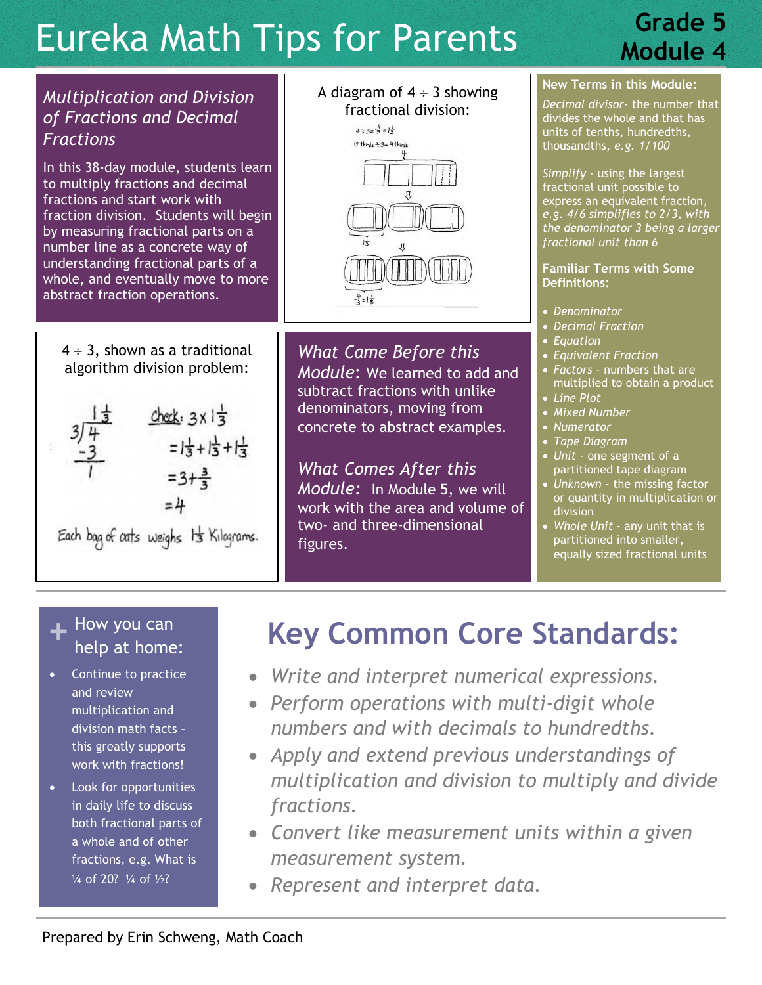# Eureka Math Tips for Parents

### **Grade 5 Module 4**



#### **+** How you can<br>
help at home help at home:

- Continue to practice and review multiplication and division math facts – this greatly supports work with fractions!
- Look for opportunities in daily life to discuss both fractional parts of a whole and of other fractions, e.g. What is ¼ of 20? ¼ of ½?

## **Key Common Core Standards:**

- *Write and interpret numerical expressions.*
- *Perform operations with multi-digit whole numbers and with decimals to hundredths.*
- *Apply and extend previous understandings of multiplication and division to multiply and divide fractions.*
- *Convert like measurement units within a given measurement system.*
- *Represent and interpret data.*